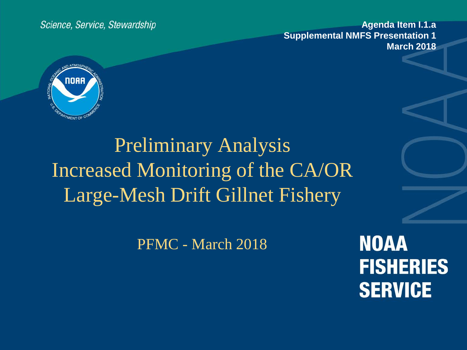Science, Service, Stewardship

**Agenda Item I.1.a Supplemental NMFS Presentation 1 March 2018**



Preliminary Analysis Increased Monitoring of the CA/OR Large-Mesh Drift Gillnet Fishery

PFMC - March 2018

**NOAA FISHERIES SERVICE**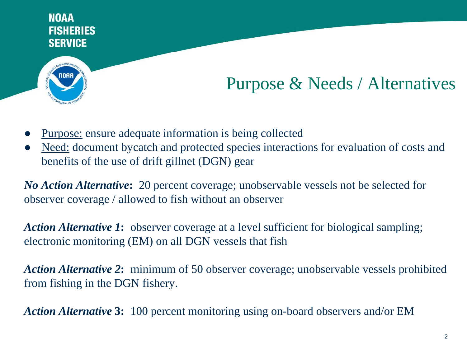

## Purpose & Needs / Alternatives

- Purpose: ensure adequate information is being collected
- Need: document bycatch and protected species interactions for evaluation of costs and benefits of the use of drift gillnet (DGN) gear

*No Action Alternative***:** 20 percent coverage; unobservable vessels not be selected for observer coverage / allowed to fish without an observer

*Action Alternative 1***:** observer coverage at a level sufficient for biological sampling; electronic monitoring (EM) on all DGN vessels that fish

*Action Alternative 2***:** minimum of 50 observer coverage; unobservable vessels prohibited from fishing in the DGN fishery.

*Action Alternative* **3:** 100 percent monitoring using on-board observers and/or EM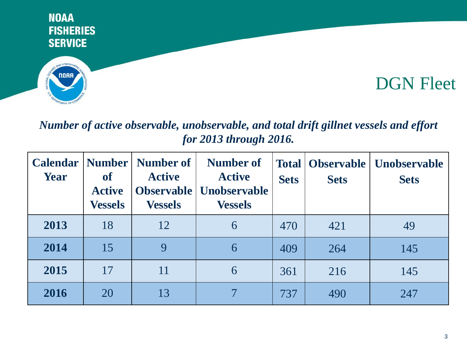



## DGN Fleet

### *Number of active observable, unobservable, and total drift gillnet vessels and effort for 2013 through 2016.*

| <b>Calendar</b><br><b>Year</b> | Number  <br><b>of</b><br><b>Active</b><br><b>Vessels</b> | Number of<br><b>Active</b><br><b>Vessels</b> | Number of<br><b>Active</b><br><b>Observable   Unobservable</b><br><b>Vessels</b> | <b>Total</b><br><b>Sets</b> | <b>Observable</b><br><b>Sets</b> | <b>Unobservable</b><br><b>Sets</b> |
|--------------------------------|----------------------------------------------------------|----------------------------------------------|----------------------------------------------------------------------------------|-----------------------------|----------------------------------|------------------------------------|
| 2013                           | 18                                                       | 12                                           | 6                                                                                | 470                         | 421                              | 49                                 |
| 2014                           | 15                                                       | 9                                            | 6                                                                                | 409                         | 264                              | 145                                |
| 2015                           | 17                                                       | 11                                           | 6                                                                                | 361                         | 216                              | 145                                |
| 2016                           | 20                                                       | 13                                           |                                                                                  | 737                         | 490                              | 247                                |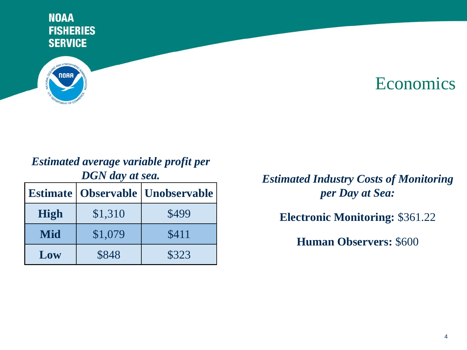

### **Economics**

# *Estimated average variable profit per*

|             |         | <b>Estimate   Observable   Unobservable</b> |  |  |
|-------------|---------|---------------------------------------------|--|--|
| <b>High</b> | \$1,310 | \$499                                       |  |  |
| Mid         | \$1,079 | \$411                                       |  |  |
| Low         | \$848   | \$323                                       |  |  |

*DGN day at sea. Estimated Industry Costs of Monitoring per Day at Sea:*

**Electronic Monitoring:** \$361.22

**Human Observers:** \$600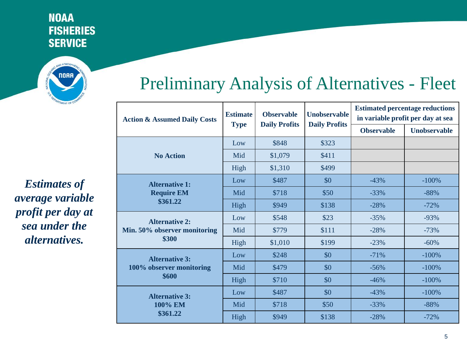

*Estimates of average variable profit per day at sea under the alternatives.*

## Preliminary Analysis of Alternatives - Fleet

| <b>Action &amp; Assumed Daily Costs</b> | <b>Estimate</b><br><b>Type</b> | <b>Observable</b><br><b>Daily Profits</b> | <b>Unobservable</b>  | <b>Estimated percentage reductions</b><br>in variable profit per day at sea |                     |
|-----------------------------------------|--------------------------------|-------------------------------------------|----------------------|-----------------------------------------------------------------------------|---------------------|
|                                         |                                |                                           | <b>Daily Profits</b> | <b>Observable</b>                                                           | <b>Unobservable</b> |
|                                         | Low                            | \$848                                     | \$323                |                                                                             |                     |
| <b>No Action</b>                        | Mid                            | \$1,079                                   | \$411                |                                                                             |                     |
|                                         | High                           | \$1,310                                   | \$499                |                                                                             |                     |
| <b>Alternative 1:</b>                   | Low                            | \$487                                     | \$0                  | $-43%$                                                                      | $-100%$             |
| <b>Require EM</b>                       | Mid                            | \$718                                     | \$50                 | $-33%$                                                                      | $-88%$              |
| \$361.22                                | High                           | \$949                                     | \$138                | $-28%$                                                                      | $-72%$              |
| <b>Alternative 2:</b>                   | Low                            | \$548                                     | \$23                 | $-35%$                                                                      | $-93%$              |
| Min. 50% observer monitoring            | Mid                            | \$779                                     | \$111                | $-28%$                                                                      | $-73%$              |
| \$300                                   | High                           | \$1,010                                   | \$199                | $-23%$                                                                      | $-60%$              |
| <b>Alternative 3:</b>                   | Low                            | \$248                                     | \$0                  | $-71%$                                                                      | $-100%$             |
| 100% observer monitoring                | Mid                            | \$479                                     | \$0                  | $-56%$                                                                      | $-100%$             |
| \$600                                   | High                           | \$710                                     | \$0                  | $-46%$                                                                      | $-100%$             |
| <b>Alternative 3:</b>                   | Low                            | \$487                                     | \$0                  | $-43%$                                                                      | $-100%$             |
| 100% EM                                 | Mid                            | \$718                                     | \$50                 | $-33%$                                                                      | $-88%$              |
| \$361.22                                | High                           | \$949                                     | \$138                | $-28%$                                                                      | $-72%$              |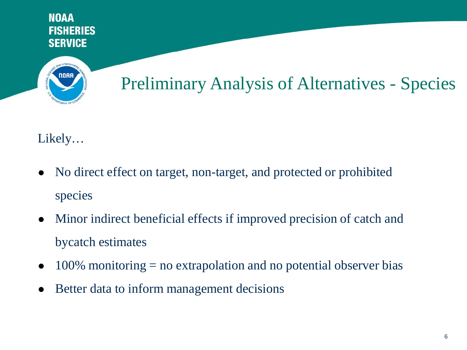

# Preliminary Analysis of Alternatives - Species

Likely…

- No direct effect on target, non-target, and protected or prohibited species
- Minor indirect beneficial effects if improved precision of catch and bycatch estimates
- $\bullet$  100% monitoring = no extrapolation and no potential observer bias
- Better data to inform management decisions